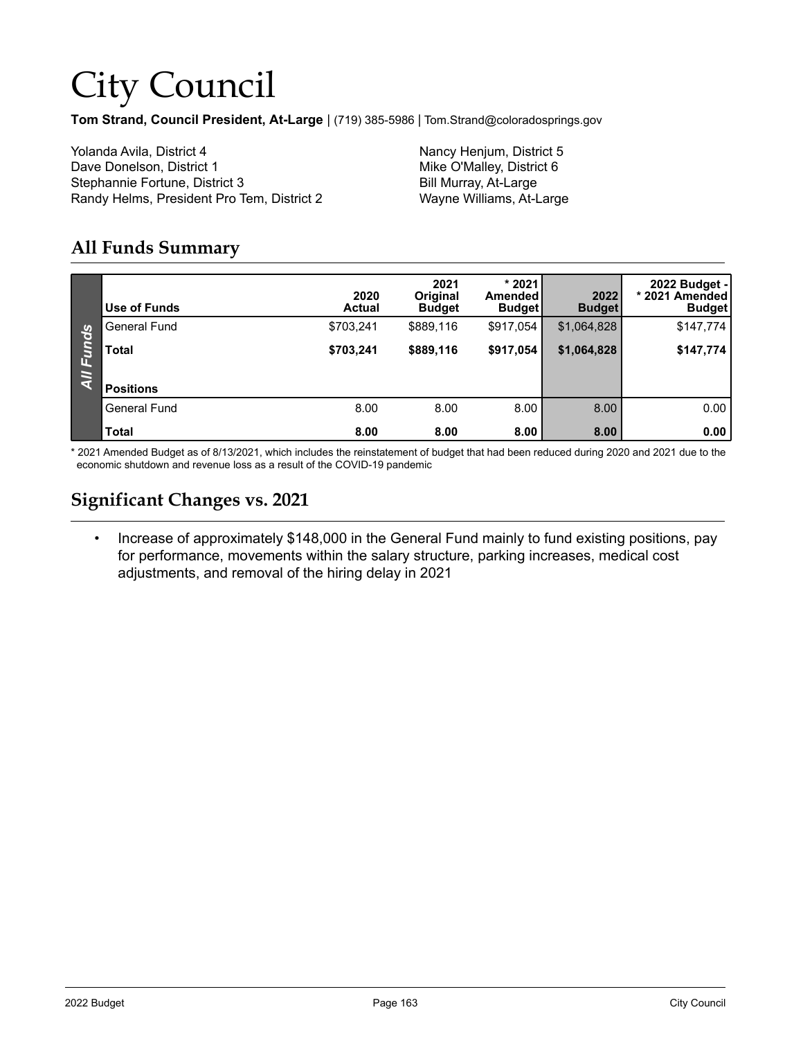# City Council

**Tom Strand, Council President, At-Large** | (719) 385-5986 | Tom.Strand@coloradosprings.gov

Yolanda Avila, District 4 Nancy Henjum, District 5 Dave Donelson, District 1 Mike O'Malley, District 6 Stephannie Fortune, District 3 Bill Murray, At-Large Randy Helms, President Pro Tem, District 2 Wayne Williams, At-Large

#### **All Funds Summary**

|                         | Use of Funds        | 2020<br><b>Actual</b> | 2021<br>Original<br><b>Budget</b> | $*2021$<br>Amended<br><b>Budget</b> | 2022<br><b>Budget</b> | 2022 Budget -<br>* 2021 Amended<br><b>Budget</b> |
|-------------------------|---------------------|-----------------------|-----------------------------------|-------------------------------------|-----------------------|--------------------------------------------------|
|                         | <b>General Fund</b> | \$703,241             | \$889,116                         | \$917,054                           | \$1,064,828           | \$147,774                                        |
| Funds<br>$\overline{M}$ | <b>Total</b>        | \$703,241             | \$889,116                         | \$917,054                           | \$1,064,828           | \$147,774                                        |
|                         | <b>Positions</b>    |                       |                                   |                                     |                       |                                                  |
|                         | <b>General Fund</b> | 8.00                  | 8.00                              | 8.00                                | 8.00                  | 0.00                                             |
|                         | <b>Total</b>        | 8.00                  | 8.00                              | 8.00                                | 8.00                  | 0.00                                             |

\* 2021 Amended Budget as of 8/13/2021, which includes the reinstatement of budget that had been reduced during 2020 and 2021 due to the economic shutdown and revenue loss as a result of the COVID-19 pandemic

#### **Significant Changes vs. 2021**

• Increase of approximately \$148,000 in the General Fund mainly to fund existing positions, pay for performance, movements within the salary structure, parking increases, medical cost adjustments, and removal of the hiring delay in 2021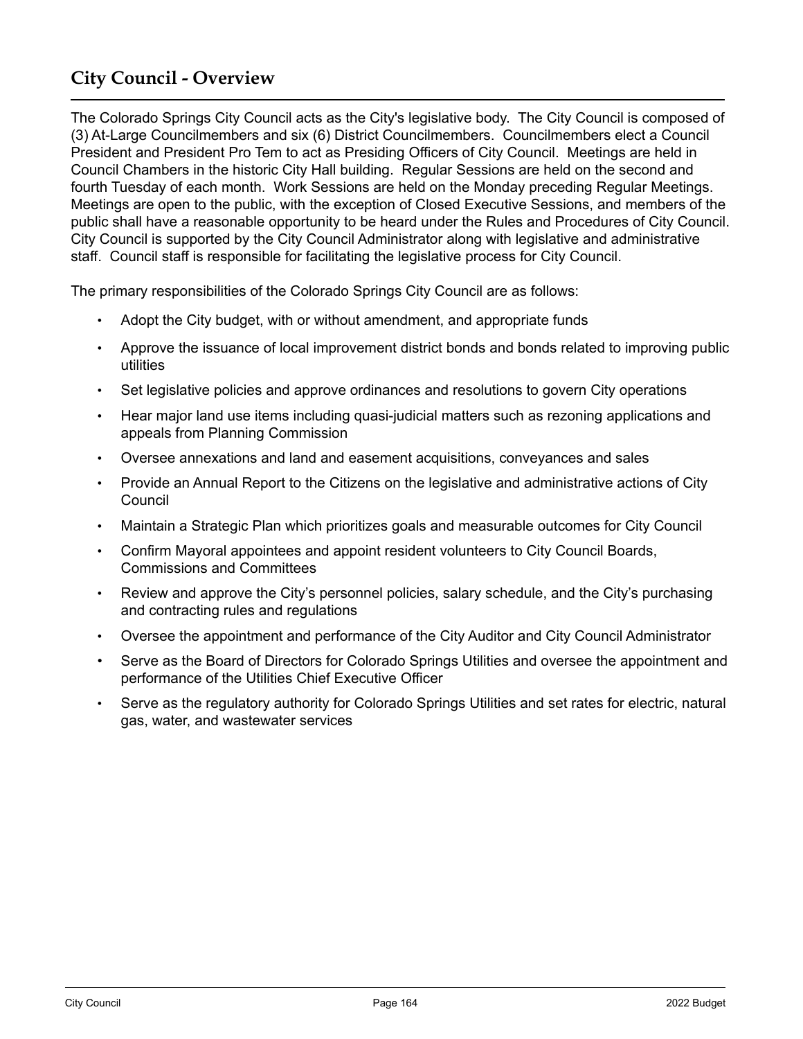### **City Council - Overview**

The Colorado Springs City Council acts as the City's legislative body. The City Council is composed of (3) At-Large Councilmembers and six (6) District Councilmembers. Councilmembers elect a Council President and President Pro Tem to act as Presiding Officers of City Council. Meetings are held in Council Chambers in the historic City Hall building. Regular Sessions are held on the second and fourth Tuesday of each month. Work Sessions are held on the Monday preceding Regular Meetings. Meetings are open to the public, with the exception of Closed Executive Sessions, and members of the public shall have a reasonable opportunity to be heard under the Rules and Procedures of City Council. City Council is supported by the City Council Administrator along with legislative and administrative staff. Council staff is responsible for facilitating the legislative process for City Council.

The primary responsibilities of the Colorado Springs City Council are as follows:

- Adopt the City budget, with or without amendment, and appropriate funds
- Approve the issuance of local improvement district bonds and bonds related to improving public utilities
- Set legislative policies and approve ordinances and resolutions to govern City operations
- Hear major land use items including quasi-judicial matters such as rezoning applications and appeals from Planning Commission
- Oversee annexations and land and easement acquisitions, conveyances and sales
- Provide an Annual Report to the Citizens on the legislative and administrative actions of City Council
- Maintain a Strategic Plan which prioritizes goals and measurable outcomes for City Council
- Confirm Mayoral appointees and appoint resident volunteers to City Council Boards, Commissions and Committees
- Review and approve the City's personnel policies, salary schedule, and the City's purchasing and contracting rules and regulations
- Oversee the appointment and performance of the City Auditor and City Council Administrator
- Serve as the Board of Directors for Colorado Springs Utilities and oversee the appointment and performance of the Utilities Chief Executive Officer
- Serve as the regulatory authority for Colorado Springs Utilities and set rates for electric, natural gas, water, and wastewater services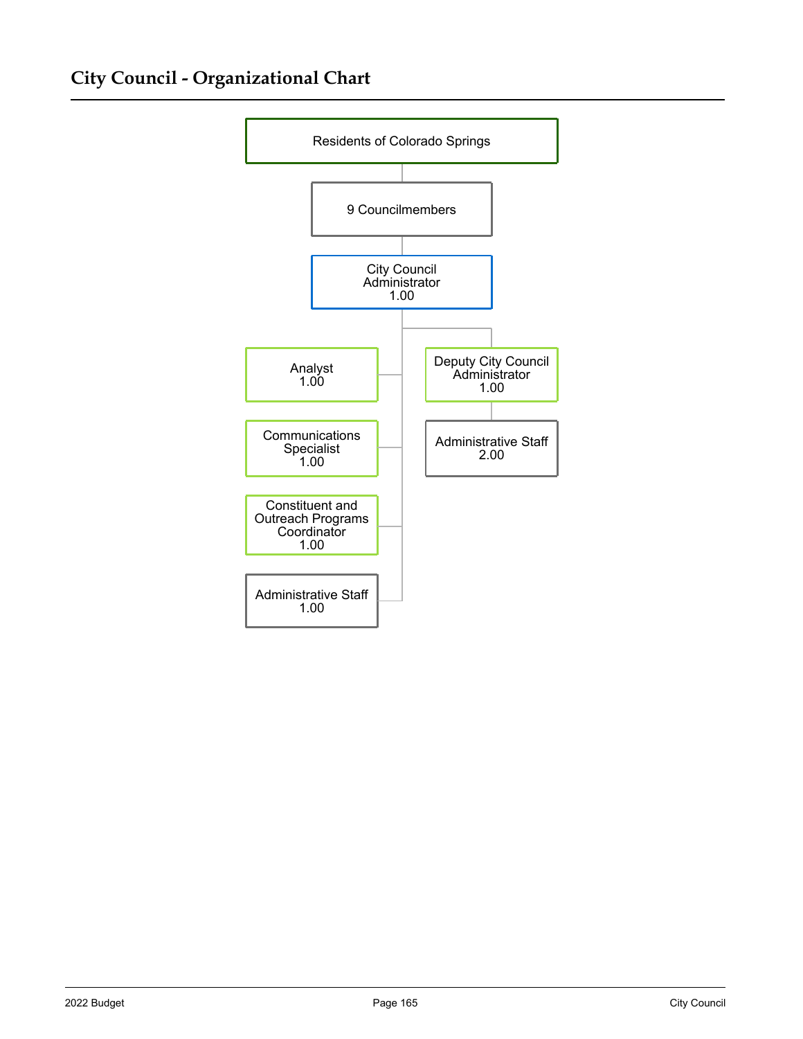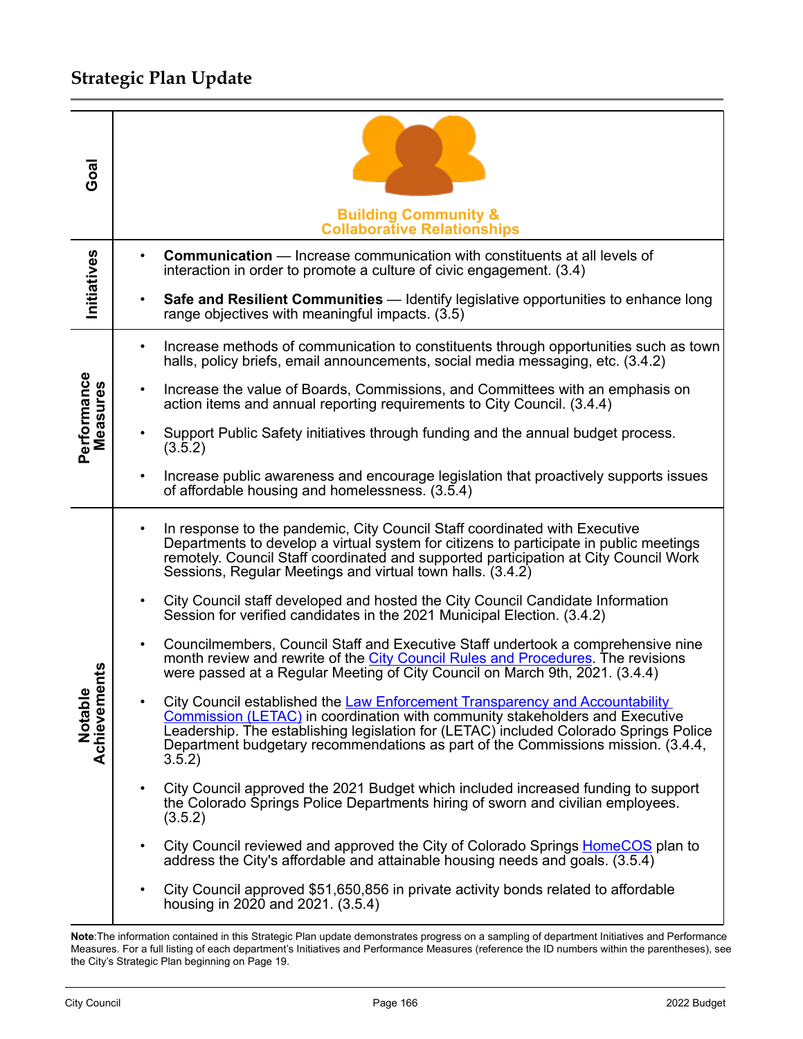| Goal                     | <b>Building Community &amp;</b><br><b>Collaborative Relationships</b>                                                                                                                                                                                                                                                                                      |
|--------------------------|------------------------------------------------------------------------------------------------------------------------------------------------------------------------------------------------------------------------------------------------------------------------------------------------------------------------------------------------------------|
| <b>Initiatives</b>       | <b>Communication</b> — Increase communication with constituents at all levels of<br>interaction in order to promote a culture of civic engagement. (3.4)                                                                                                                                                                                                   |
|                          | <b>Safe and Resilient Communities</b> — Identify legislative opportunities to enhance long<br>$\bullet$<br>range objectives with meaningful impacts. (3.5)                                                                                                                                                                                                 |
|                          | Increase methods of communication to constituents through opportunities such as town<br>$\bullet$<br>halls, policy briefs, email announcements, social media messaging, etc. (3.4.2)                                                                                                                                                                       |
| Measures                 | Increase the value of Boards, Commissions, and Committees with an emphasis on<br>action items and annual reporting requirements to City Council. (3.4.4)                                                                                                                                                                                                   |
| Performance              | Support Public Safety initiatives through funding and the annual budget process.<br>$\bullet$<br>(3.5.2)                                                                                                                                                                                                                                                   |
|                          | Increase public awareness and encourage legislation that proactively supports issues<br>of affordable housing and homelessness. (3.5.4)                                                                                                                                                                                                                    |
|                          | In response to the pandemic, City Council Staff coordinated with Executive<br>$\bullet$<br>Departments to develop a virtual system for citizens to participate in public meetings<br>remotely. Council Staff coordinated and supported participation at City Council Work<br>Sessions, Regular Meetings and virtual town halls. (3.4.2)                    |
|                          | City Council staff developed and hosted the City Council Candidate Information<br>$\bullet$<br>Session for verified candidates in the 2021 Municipal Election. (3.4.2)                                                                                                                                                                                     |
| ents                     | Councilmembers, Council Staff and Executive Staff undertook a comprehensive nine<br>$\bullet$<br>month review and rewrite of the City Council Rules and Procedures. The revisions<br>were passed at a Regular Meeting of City Council on March 9th, 2021. (3.4.4)                                                                                          |
| ω<br>Notable<br>Achievem | City Council established the Law Enforcement Transparency and Accountability<br><b>Commission (LETAC) in coordination with community stakeholders and Executive</b><br>Leadership. The establishing legislation for (LETAC) included Colorado Springs Police<br>Department budgetary recommendations as part of the Commissions mission. (3.4.4,<br>3.5.2) |
|                          | City Council approved the 2021 Budget which included increased funding to support<br>$\bullet$<br>the Colorado Springs Police Departments hiring of sworn and civilian employees.<br>(3.5.2)                                                                                                                                                               |
|                          | City Council reviewed and approved the City of Colorado Springs <b>HomeCOS</b> plan to<br>$\bullet$<br>address the City's affordable and attainable housing needs and goals. (3.5.4)                                                                                                                                                                       |
|                          | City Council approved \$51,650,856 in private activity bonds related to affordable<br>$\bullet$<br>housing in 2020 and 2021. (3.5.4)                                                                                                                                                                                                                       |

**Note**:The information contained in this Strategic Plan update demonstrates progress on a sampling of department Initiatives and Performance Measures. For a full listing of each department's Initiatives and Performance Measures (reference the ID numbers within the parentheses), see the City's Strategic Plan beginning on Page 19.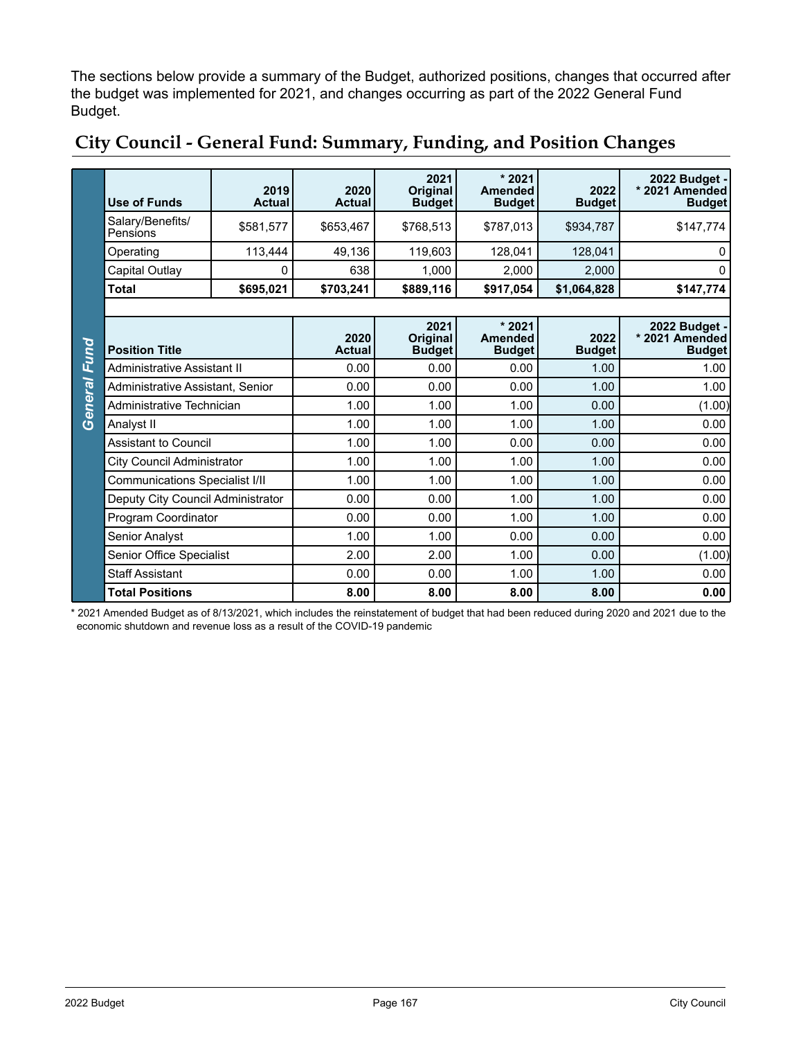The sections below provide a summary of the Budget, authorized positions, changes that occurred after the budget was implemented for 2021, and changes occurring as part of the 2022 General Fund Budget.

|                | <b>Use of Funds</b>                   | 2019<br><b>Actual</b> | 2020<br><b>Actual</b> | 2021<br><b>Original</b><br><b>Budget</b> | $*2021$<br><b>Amended</b><br><b>Budget</b> | 2022<br><b>Budget</b> | 2022 Budget -<br>* 2021 Amended<br><b>Budget</b> |
|----------------|---------------------------------------|-----------------------|-----------------------|------------------------------------------|--------------------------------------------|-----------------------|--------------------------------------------------|
|                | Salary/Benefits/<br>Pensions          | \$581,577             | \$653,467             | \$768,513                                | \$787,013                                  | \$934,787             | \$147,774                                        |
|                | Operating                             | 113,444               | 49,136                | 119,603                                  | 128,041                                    | 128,041               | 0                                                |
|                | Capital Outlay                        | 0                     | 638                   | 1,000                                    | 2,000                                      | 2,000                 | 0                                                |
|                | <b>Total</b>                          | \$695,021             | \$703,241             | \$889,116                                | \$917,054                                  | \$1,064,828           | \$147,774                                        |
|                |                                       |                       |                       |                                          |                                            |                       |                                                  |
| Fund           | <b>Position Title</b>                 |                       | 2020<br><b>Actual</b> | 2021<br>Original<br><b>Budget</b>        | $*2021$<br><b>Amended</b><br><b>Budget</b> | 2022<br><b>Budget</b> | 2022 Budget -<br>* 2021 Amended<br><b>Budget</b> |
|                | Administrative Assistant II           |                       | 0.00                  | 0.00                                     | 0.00                                       | 1.00                  | 1.00                                             |
| <b>General</b> | Administrative Assistant, Senior      |                       | 0.00                  | 0.00                                     | 0.00                                       | 1.00                  | 1.00                                             |
|                | Administrative Technician             |                       | 1.00                  | 1.00                                     | 1.00                                       | 0.00                  | (1.00)                                           |
|                | Analyst II                            |                       | 1.00                  | 1.00                                     | 1.00                                       | 1.00                  | 0.00                                             |
|                | Assistant to Council                  |                       | 1.00                  | 1.00                                     | 0.00                                       | 0.00                  | 0.00                                             |
|                | City Council Administrator            |                       | 1.00                  | 1.00                                     | 1.00                                       | 1.00                  | 0.00                                             |
|                | <b>Communications Specialist I/II</b> |                       | 1.00                  | 1.00                                     | 1.00                                       | 1.00                  | 0.00                                             |
|                | Deputy City Council Administrator     |                       | 0.00                  | 0.00                                     | 1.00                                       | 1.00                  | 0.00                                             |
|                | Program Coordinator                   |                       | 0.00                  | 0.00                                     | 1.00                                       | 1.00                  | 0.00                                             |
|                | Senior Analyst                        |                       | 1.00                  | 1.00                                     | 0.00                                       | 0.00                  | 0.00                                             |
|                | Senior Office Specialist              |                       | 2.00                  | 2.00                                     | 1.00                                       | 0.00                  | (1.00)                                           |
|                | <b>Staff Assistant</b>                |                       | 0.00                  | 0.00                                     | 1.00                                       | 1.00                  | 0.00                                             |
|                | <b>Total Positions</b>                |                       | 8.00                  | 8.00                                     | 8.00                                       | 8.00                  | 0.00                                             |

### **City Council - General Fund: Summary, Funding, and Position Changes**

\* 2021 Amended Budget as of 8/13/2021, which includes the reinstatement of budget that had been reduced during 2020 and 2021 due to the economic shutdown and revenue loss as a result of the COVID-19 pandemic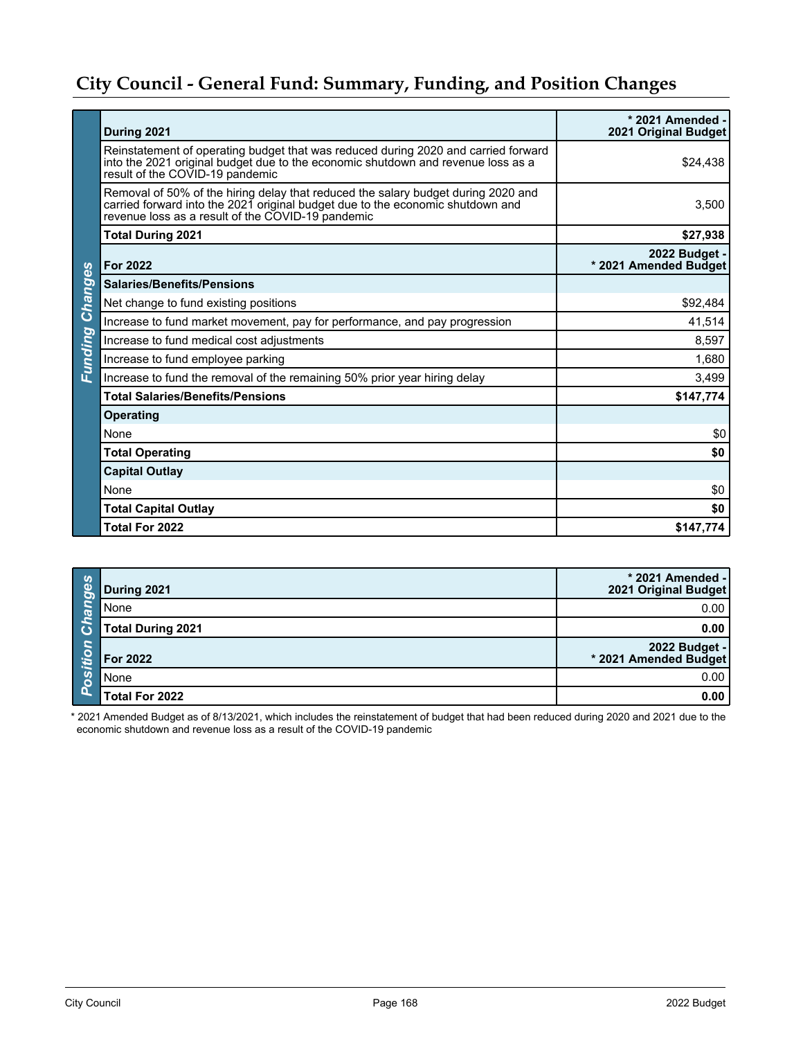## **City Council - General Fund: Summary, Funding, and Position Changes**

|                | During 2021                                                                                                                                                                                                              | * 2021 Amended -<br>2021 Original Budget |
|----------------|--------------------------------------------------------------------------------------------------------------------------------------------------------------------------------------------------------------------------|------------------------------------------|
|                | Reinstatement of operating budget that was reduced during 2020 and carried forward<br>into the 2021 original budget due to the economic shutdown and revenue loss as a<br>result of the COVID-19 pandemic                | \$24,438                                 |
|                | Removal of 50% of the hiring delay that reduced the salary budget during 2020 and<br>carried forward into the 2021 original budget due to the economic shutdown and<br>revenue loss as a result of the COVID-19 pandemic | 3,500                                    |
|                | <b>Total During 2021</b>                                                                                                                                                                                                 | \$27,938                                 |
|                | <b>For 2022</b>                                                                                                                                                                                                          | 2022 Budget -<br>* 2021 Amended Budget   |
| Changes        | <b>Salaries/Benefits/Pensions</b>                                                                                                                                                                                        |                                          |
|                | Net change to fund existing positions                                                                                                                                                                                    | \$92,484                                 |
|                | Increase to fund market movement, pay for performance, and pay progression                                                                                                                                               | 41,514                                   |
|                | Increase to fund medical cost adjustments                                                                                                                                                                                | 8,597                                    |
| <b>Eunding</b> | Increase to fund employee parking                                                                                                                                                                                        | 1,680                                    |
|                | Increase to fund the removal of the remaining 50% prior year hiring delay                                                                                                                                                | 3,499                                    |
|                | <b>Total Salaries/Benefits/Pensions</b>                                                                                                                                                                                  | \$147,774                                |
|                | <b>Operating</b>                                                                                                                                                                                                         |                                          |
|                | None                                                                                                                                                                                                                     | \$0                                      |
|                | <b>Total Operating</b>                                                                                                                                                                                                   | \$0                                      |
|                | <b>Capital Outlay</b>                                                                                                                                                                                                    |                                          |
|                | None                                                                                                                                                                                                                     | \$0                                      |
|                | <b>Total Capital Outlay</b>                                                                                                                                                                                              | \$0                                      |
|                | Total For 2022                                                                                                                                                                                                           | \$147,774                                |

| <b>Changes</b>              | During 2021              | * 2021 Amended -<br>2021 Original Budget |
|-----------------------------|--------------------------|------------------------------------------|
|                             | None                     | 0.00                                     |
|                             | <b>Total During 2021</b> | 0.00                                     |
| itio<br>$\overline{P_{OS}}$ | For 2022                 | - 2022 Budget<br>2021 Amended Budget     |
|                             | None                     | 0.00                                     |
|                             | Total For 2022           | 0.00                                     |

\* 2021 Amended Budget as of 8/13/2021, which includes the reinstatement of budget that had been reduced during 2020 and 2021 due to the economic shutdown and revenue loss as a result of the COVID-19 pandemic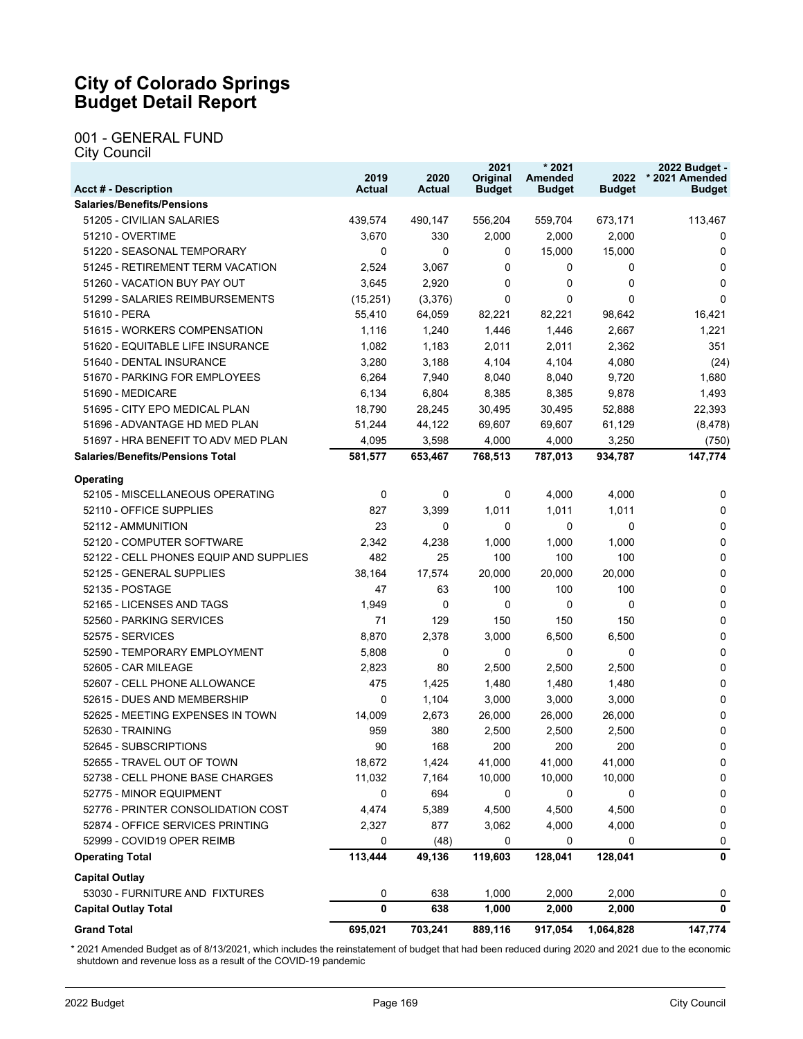#### **City of Colorado Springs Budget Detail Report**

#### 001 - GENERAL FUND City Council

**Salaries/Benefits/Pensions** 51205 - CIVILIAN SALARIES 439,574 490,147 556,204 559,704 673,171 113,467 51210 - OVERTIME 3,670 330 2,000 2,000 2,000 0 51220 - SEASONAL TEMPORARY 0 0 0 15,000 15,000 0 51245 - RETIREMENT TERM VACATION 2,524 3,067 0 0 0 0 51260 - VACATION BUY PAY OUT  $3,645$   $2,920$  0 0 0 0 0 51299 - SALARIES REIMBURSEMENTS (15,251) (3,376) 0 0 0 0 51610 - PERA 55,410 64,059 82,221 82,221 98,642 16,421 51615 - WORKERS COMPENSATION 1,116 1,240 1,446 1,446 2,667 1,221 51620 - EQUITABLE LIFE INSURANCE 1,082 1,183 2,011 2,011 2,362 351 51640 - DENTAL INSURANCE 3,280 3,188 4,104 4,104 4,080 (24) 51670 - PARKING FOR EMPLOYEES 6,264 7,940 8,040 8,040 9,720 1,680 51690 - MEDICARE 6,134 6,804 8,385 8,385 9,878 1,493 51695 - CITY EPO MEDICAL PLAN 18,790 28,245 30,495 30,495 52,888 22,393 51696 - ADVANTAGE HD MED PLAN 51,244 44,122 69,607 69,607 61,129 (8,478) 51697 - HRA BENEFIT TO ADV MED PLAN  $4,095$   $3,598$   $4,000$   $4,000$   $3,250$   $(750)$ **Salaries/Benefits/Pensions Total 581,577 653,467 768,513 787,013 934,787 147,774 Operating** 52105 - MISCELLANEOUS OPERATING 0 0 0 4,000 4,000 0 52110 - OFFICE SUPPLIES 827 3,399 1,011 1,011 1,011 0 52112 - AMMUNITION 23 0 0 0 0 0 52120 - COMPUTER SOFTWARE 2,342 4,238 1,000 1,000 1,000 0 52122 - CELL PHONES EQUIP AND SUPPLIES  $\begin{array}{ccc} 482 & 25 & 100 & 100 & 100 \end{array}$ 52125 - GENERAL SUPPLIES 38,164 17,574 20,000 20,000 20,000 0 52135 - POSTAGE 47 63 100 100 100 0 52165 - LICENSES AND TAGS 1,949 0 0 0 0 0 52560 - PARKING SERVICES 71 129 150 150 150 0 52575 - SERVICES 8,870 2,378 3,000 6,500 6,500 0 52590 - TEMPORARY EMPLOYMENT 5,808 0 0 0 0 0 52605 - CAR MILEAGE 2,823 80 2,500 2,500 2,500 0 52607 - CELL PHONE ALLOWANCE 475 1,425 1,480 1,480 1,480 0 52615 - DUES AND MEMBERSHIP 0 1,104 3,000 3,000 3,000 0 52625 - MEETING EXPENSES IN TOWN 14,009 2,673 26,000 26,000 26,000 0 52630 - TRAINING 959 380 2,500 2,500 2,500 0 52645 - SUBSCRIPTIONS 90 168 200 200 200 0 52655 - TRAVEL OUT OF TOWN 18,672 1,424 41,000 41,000 41,000 0 52738 - CELL PHONE BASE CHARGES 11,032 7,164 10,000 10,000 10,000 0 52775 - MINOR EQUIPMENT 0 694 0 0 0 0 52776 - PRINTER CONSOLIDATION COST 4,474 5,389 4,500 4,500 4,500 0 52874 - OFFICE SERVICES PRINTING 2,327 877 3,062 4,000 4,000 0 52999 - COVID19 OPER REIMB 0 (48) 0 0 0 0 **Operating Total 113,444 49,136 119,603 128,041 128,041 0 Capital Outlay** 53030 - FURNITURE AND FIXTURES 0 638 1,000 2,000 2,000 0 **Capital Outlay Total 0 638 1,000 2,000 2,000 0 Grand Total 695,021 703,241 889,116 917,054 1,064,828 147,774 Acct # - Description Actual Actual Original Budget Amended Budget Budget \* 2021 Amended Budget**

**2019** 

**2020** 

**2021** 

**\* 2021** 

**2022** 

**2022 Budget -** 

\* 2021 Amended Budget as of 8/13/2021, which includes the reinstatement of budget that had been reduced during 2020 and 2021 due to the economic shutdown and revenue loss as a result of the COVID-19 pandemic